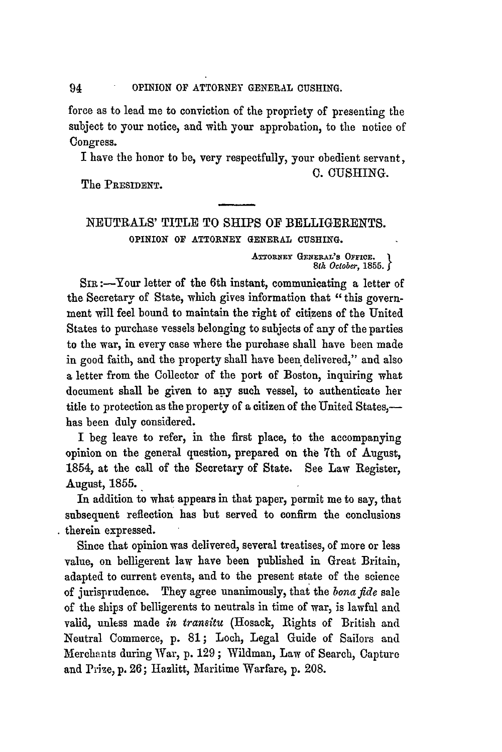force as to lead me to conviction of the propriety of presenting the subject to your notice, and with your approbation, to the notice of Congress.

I have the honor to be, very respectfully, your obedient servant, C. CUSHING.

The PRESIDENT.

NEUTRALS' TITLE TO SHIPS OF BELLIGERENTS. OPINION OF ATTORNEY **GENERAL CUSHING.**

> ATTORNEY GENERAL'S OFFICE. *8th October,* **1855.**

SIR :-Your letter of the 6th instant, communicating a letter of the Secretary of State, which gives information that "this government will feel bound to maintain the right of citizens of the United States to purchase vessels belonging to subjects of any of the parties to the war, in every case where the purchase shall have been made in good faith, and the property shall have been delivered," and also a letter from the Collector of the port of Boston, inquiring what document shall be given to **any** such vessel, to authenticate her title to protection as the property of a citizen of the United States, has been duly considered.

I beg leave to refer, in the first place, to the accompanying opinion on the general question, prepared on the **7th** of August, 1854, at the call of the Secretary of State. See Law Register, August, 1855.

In addition to what appears in that paper, permit me to say, that subsequent reflection has but served to confirm the conclusions therein expressed.

Since that opinion was delivered, several treatises, of more or less value, on belligerent law have been published in Great Britain, adapted to current events, and to the present state of the science of jurisprudence. They agree unanimously, that the *bonafide* sale of the ships of belligerents to neutrals in time of war, is lawful and valid, unless made *in tranitu* (Hosack, Rights of British and Neutral Commerce, p. 81; Loch, Legal Guide of Sailors and Merchants during War, **p.** 129 ; Wildman, Law of Search, Capture and Prize, p. **26;** Hazlitt, Maritime Warfare, p. 208.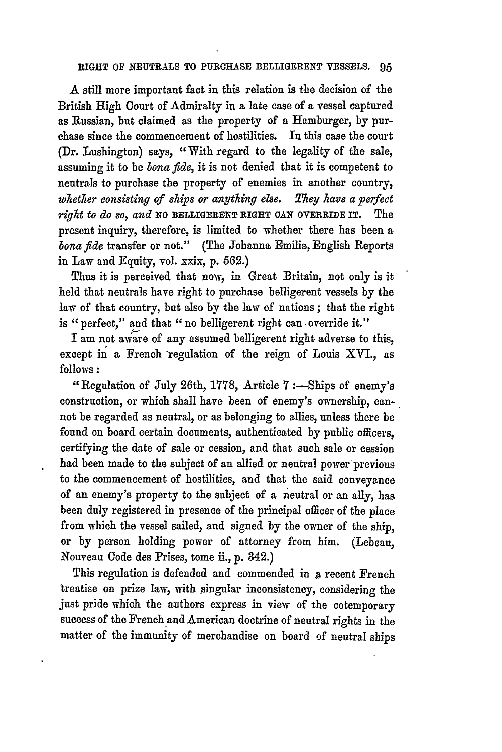## **RIGHT OF NEUTRALS TO PURCHASE** BELLIGERENT **VESSELS.** 95

**A** still more important fact in this relation is the decision of the British High Court of Admiralty in a late case of a vessel captured as Russian, but claimed as the property of a Hamburger, **by** purchase since the commencement of hostilities. In this case the court (Dr. Lushington) says, "With regard to the legality of the sale, assuming it to be *bona fide,* it is not denied that it is competent to neutrals to purchase the property of enemies in another country, *whetier consisting of ships or anything else. They have a perfect right to do so, and* **No** BELLIGERENT **RIGHT CAN OVERRIDE IT.** The present inquiry, therefore, is limited to whether there has been a *bona fide* transfer or not." (The Johanna Emilia, English Reports in Law and Equity, vol. xxix, **p. 562.)**

Thus it is perceived that now, in Great Britain, not only is it held that neutrals have right to purchase belligerent vessels **by** the law of that country, but also **by** the law of nations ; that the right is "perfect," and that "no belligerent right can override it."

I am not **aware** of any assumed belligerent right adverse to this, except in a French regulation of the reign of Louis XYI., as follows *:*

"Regulation of July 26th, **1778,** Article **7** :-Ships of enemy's construction, or which shall have been of enemy's ownership, cannot be regarded as neutral, or as belonging to allies, unless there be found on board certain documents, authenticated **by** public officers, certifying the date of sale or cession, and that such sale or cession had been made to the subject of an allied or neutral power'previous to the commencement of hostilities, and that the said conveyance of an enemy's property to the subject of a neutral or an ally, has been duly registered in presence of the principal officer of the place from which the vessel sailed, and signed **by** the owner of the ship, or **by** person holding power of attorney from him. (Lebeau, Nouveau Code des Prises, tome ii., **p.** 342.)

This regulation is defended and commended in a recent French treatise on prize law, with singular inconsistency, considering the just pride which the authors express in view of the cotemporary success of the French and American doctrine of neutral rights in the matter of the immunity of merchandise on board of neutral ships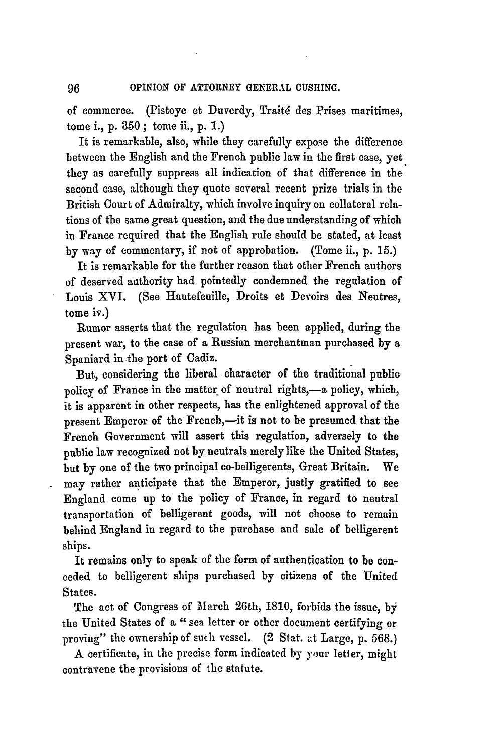of commerce. (Pistoye et Duverdy, Traité des Prises maritimes, tome i., p. **350** ; tome ii., p. 1.)

It is remarkable, also, while they carefully expose the difference between the English and the French public law in the first case, yet they as carefully suppress all indication of that difference in the second case, although they quote several recent prize trials in the British Court of Admiralty, which involve inquiry on collateral relations of **the** same great question, and the due understanding of which in France required that the English rule should be stated, at least by way of commentary, if not of approbation. (Tome ii., p. 15.)

It is remarkable for the further reason that other French authors of deserved authority had pointedly condemned the regulation of Louis XVI. (See Hautefeuille, Droits et Devoirs des Neutres, tome iv.)

Rumor asserts that the regulation has been applied, during the present war, to the case of a Russian merchautman purchased **by** a Spaniard in -the port of Cadiz.

But, considering the liberal character of the traditional public policy of France in the matter of neutral rights,-a policy, which, it is apparent in other respects, has the enlightened approval of the present Emperor of the French,—it is not to be presumed that the French Government will assert this regulation, adversely to the public law recognized not **by** neutrals merely like the United States, but **by** one of the two principal co-belligerents, Great Britain. We may rather anticipate that the Emperor, justly gratified to see England come up to the policy of France, in regard to neutral transportation of belligerent goods, will not choose to remain behind England in regard to the purchase and sale of belligerent ships.

It remains only to speak of the form of authentication to be conceded to belligerent ships purchased by citizens of the United States.

The act of Congress of March 26th, 1810, forbids the issue, **by** the United States of a " sea letter or other document certifying or proving" the ownership of such vessel. (2 Stat. at Large, p. **568.)**

A certificate, in the precise form indicated by your letter, might contravene the provisions of the statute.

96